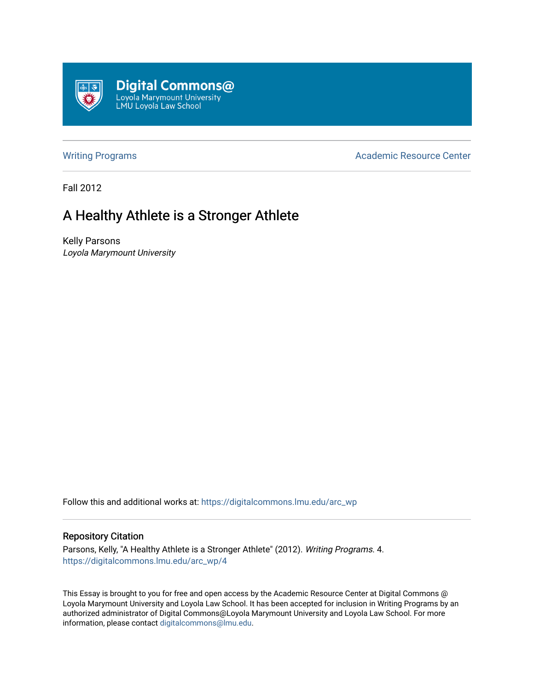

[Writing Programs](https://digitalcommons.lmu.edu/arc_wp) **Academic Resource Center** Academic Resource Center

Fall 2012

## A Healthy Athlete is a Stronger Athlete

Kelly Parsons Loyola Marymount University

Follow this and additional works at: [https://digitalcommons.lmu.edu/arc\\_wp](https://digitalcommons.lmu.edu/arc_wp?utm_source=digitalcommons.lmu.edu%2Farc_wp%2F4&utm_medium=PDF&utm_campaign=PDFCoverPages)

## Repository Citation

Parsons, Kelly, "A Healthy Athlete is a Stronger Athlete" (2012). Writing Programs. 4. [https://digitalcommons.lmu.edu/arc\\_wp/4](https://digitalcommons.lmu.edu/arc_wp/4?utm_source=digitalcommons.lmu.edu%2Farc_wp%2F4&utm_medium=PDF&utm_campaign=PDFCoverPages)

This Essay is brought to you for free and open access by the Academic Resource Center at Digital Commons @ Loyola Marymount University and Loyola Law School. It has been accepted for inclusion in Writing Programs by an authorized administrator of Digital Commons@Loyola Marymount University and Loyola Law School. For more information, please contact [digitalcommons@lmu.edu.](mailto:digitalcommons@lmu.edu)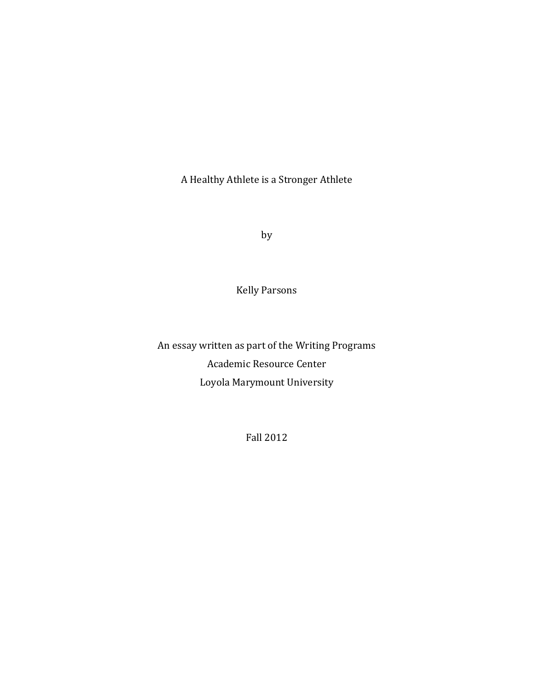A Healthy Athlete is a Stronger Athlete

by

Kelly Parsons

An essay written as part of the Writing Programs Academic Resource Center Loyola Marymount University

Fall 2012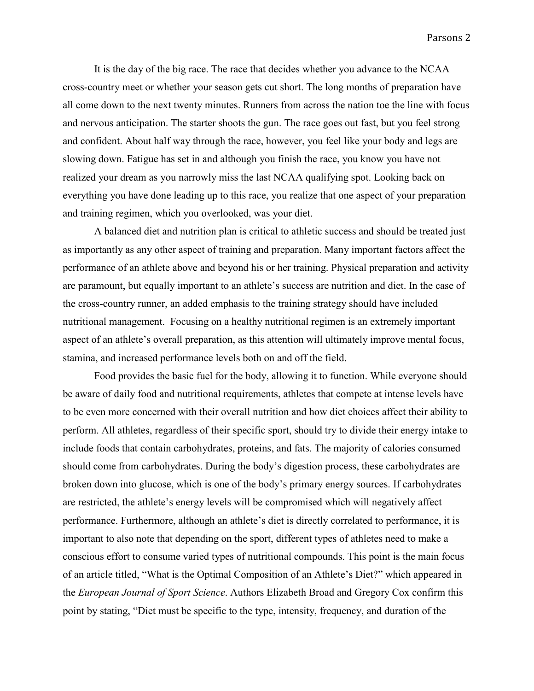It is the day of the big race. The race that decides whether you advance to the NCAA cross-country meet or whether your season gets cut short. The long months of preparation have all come down to the next twenty minutes. Runners from across the nation toe the line with focus and nervous anticipation. The starter shoots the gun. The race goes out fast, but you feel strong and confident. About half way through the race, however, you feel like your body and legs are slowing down. Fatigue has set in and although you finish the race, you know you have not realized your dream as you narrowly miss the last NCAA qualifying spot. Looking back on everything you have done leading up to this race, you realize that one aspect of your preparation and training regimen, which you overlooked, was your diet.

A balanced diet and nutrition plan is critical to athletic success and should be treated just as importantly as any other aspect of training and preparation. Many important factors affect the performance of an athlete above and beyond his or her training. Physical preparation and activity are paramount, but equally important to an athlete's success are nutrition and diet. In the case of the cross-country runner, an added emphasis to the training strategy should have included nutritional management. Focusing on a healthy nutritional regimen is an extremely important aspect of an athlete's overall preparation, as this attention will ultimately improve mental focus, stamina, and increased performance levels both on and off the field.

Food provides the basic fuel for the body, allowing it to function. While everyone should be aware of daily food and nutritional requirements, athletes that compete at intense levels have to be even more concerned with their overall nutrition and how diet choices affect their ability to perform. All athletes, regardless of their specific sport, should try to divide their energy intake to include foods that contain carbohydrates, proteins, and fats. The majority of calories consumed should come from carbohydrates. During the body's digestion process, these carbohydrates are broken down into glucose, which is one of the body's primary energy sources. If carbohydrates are restricted, the athlete's energy levels will be compromised which will negatively affect performance. Furthermore, although an athlete's diet is directly correlated to performance, it is important to also note that depending on the sport, different types of athletes need to make a conscious effort to consume varied types of nutritional compounds. This point is the main focus of an article titled, "What is the Optimal Composition of an Athlete's Diet?" which appeared in the *European Journal of Sport Science*. Authors Elizabeth Broad and Gregory Cox confirm this point by stating, "Diet must be specific to the type, intensity, frequency, and duration of the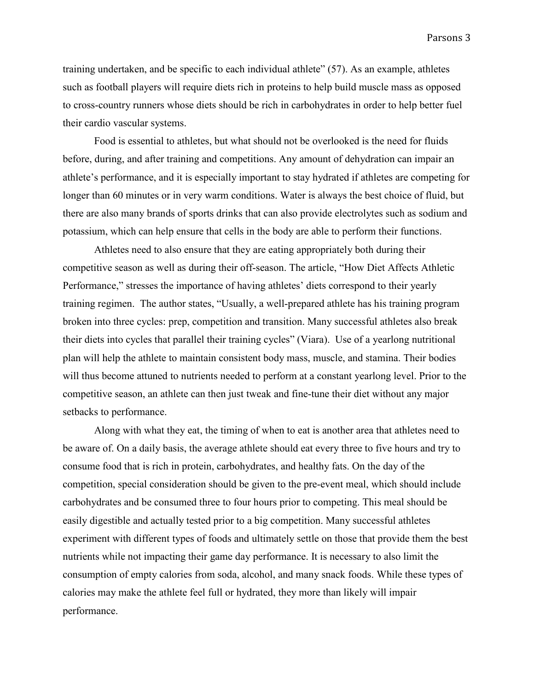Parsons 3

training undertaken, and be specific to each individual athlete" (57). As an example, athletes such as football players will require diets rich in proteins to help build muscle mass as opposed to cross-country runners whose diets should be rich in carbohydrates in order to help better fuel their cardio vascular systems.

Food is essential to athletes, but what should not be overlooked is the need for fluids before, during, and after training and competitions. Any amount of dehydration can impair an athlete's performance, and it is especially important to stay hydrated if athletes are competing for longer than 60 minutes or in very warm conditions. Water is always the best choice of fluid, but there are also many brands of sports drinks that can also provide electrolytes such as sodium and potassium, which can help ensure that cells in the body are able to perform their functions.

Athletes need to also ensure that they are eating appropriately both during their competitive season as well as during their off-season. The article, "How Diet Affects Athletic Performance," stresses the importance of having athletes' diets correspond to their yearly training regimen. The author states, "Usually, a well-prepared athlete has his training program broken into three cycles: prep, competition and transition. Many successful athletes also break their diets into cycles that parallel their training cycles" (Viara). Use of a yearlong nutritional plan will help the athlete to maintain consistent body mass, muscle, and stamina. Their bodies will thus become attuned to nutrients needed to perform at a constant yearlong level. Prior to the competitive season, an athlete can then just tweak and fine-tune their diet without any major setbacks to performance.

Along with what they eat, the timing of when to eat is another area that athletes need to be aware of. On a daily basis, the average athlete should eat every three to five hours and try to consume food that is rich in protein, carbohydrates, and healthy fats. On the day of the competition, special consideration should be given to the pre-event meal, which should include carbohydrates and be consumed three to four hours prior to competing. This meal should be easily digestible and actually tested prior to a big competition. Many successful athletes experiment with different types of foods and ultimately settle on those that provide them the best nutrients while not impacting their game day performance. It is necessary to also limit the consumption of empty calories from soda, alcohol, and many snack foods. While these types of calories may make the athlete feel full or hydrated, they more than likely will impair performance.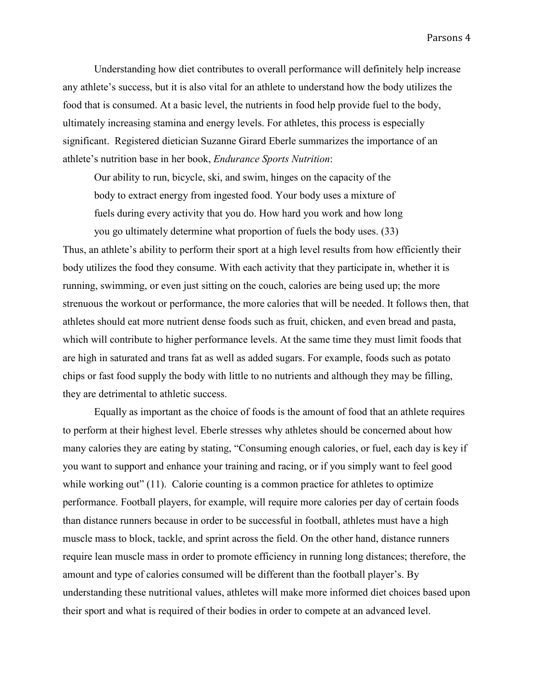Understanding how diet contributes to overall performance will definitely help increase any athlete's success, but it is also vital for an athlete to understand how the body utilizes the food that is consumed. At a basic level, the nutrients in food help provide fuel to the body, ultimately increasing stamina and energy levels. For athletes, this process is especially significant. Registered dietician Suzanne Girard Eberle summarizes the importance of an athlete's nutrition base in her book, *Endurance Sports Nutrition*:

Our ability to run, bicycle, ski, and swim, hinges on the capacity of the body to extract energy from ingested food. Your body uses a mixture of fuels during every activity that you do. How hard you work and how long

you go ultimately determine what proportion of fuels the body uses. (33) Thus, an athlete's ability to perform their sport at a high level results from how efficiently their body utilizes the food they consume. With each activity that they participate in, whether it is running, swimming, or even just sitting on the couch, calories are being used up; the more strenuous the workout or performance, the more calories that will be needed. It follows then, that athletes should eat more nutrient dense foods such as fruit, chicken, and even bread and pasta, which will contribute to higher performance levels. At the same time they must limit foods that are high in saturated and trans fat as well as added sugars. For example, foods such as potato chips or fast food supply the body with little to no nutrients and although they may be filling, they are detrimental to athletic success.

Equally as important as the choice of foods is the amount of food that an athlete requires to perform at their highest level. Eberle stresses why athletes should be concerned about how many calories they are eating by stating, "Consuming enough calories, or fuel, each day is key if you want to support and enhance your training and racing, or if you simply want to feel good while working out" (11). Calorie counting is a common practice for athletes to optimize performance. Football players, for example, will require more calories per day of certain foods than distance runners because in order to be successful in football, athletes must have a high muscle mass to block, tackle, and sprint across the field. On the other hand, distance runners require lean muscle mass in order to promote efficiency in running long distances; therefore, the amount and type of calories consumed will be different than the football player's. By understanding these nutritional values, athletes will make more informed diet choices based upon their sport and what is required of their bodies in order to compete at an advanced level.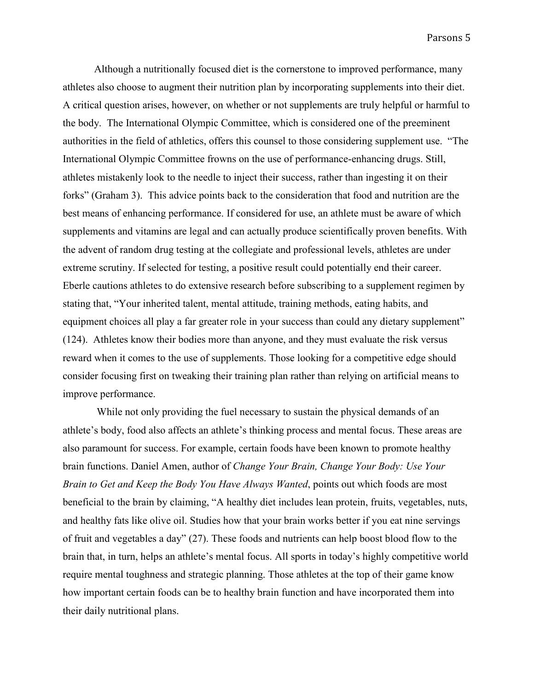Although a nutritionally focused diet is the cornerstone to improved performance, many athletes also choose to augment their nutrition plan by incorporating supplements into their diet. A critical question arises, however, on whether or not supplements are truly helpful or harmful to the body. The International Olympic Committee, which is considered one of the preeminent authorities in the field of athletics, offers this counsel to those considering supplement use. "The International Olympic Committee frowns on the use of performance-enhancing drugs. Still, athletes mistakenly look to the needle to inject their success, rather than ingesting it on their forks" (Graham 3). This advice points back to the consideration that food and nutrition are the best means of enhancing performance. If considered for use, an athlete must be aware of which supplements and vitamins are legal and can actually produce scientifically proven benefits. With the advent of random drug testing at the collegiate and professional levels, athletes are under extreme scrutiny. If selected for testing, a positive result could potentially end their career. Eberle cautions athletes to do extensive research before subscribing to a supplement regimen by stating that, "Your inherited talent, mental attitude, training methods, eating habits, and equipment choices all play a far greater role in your success than could any dietary supplement" (124). Athletes know their bodies more than anyone, and they must evaluate the risk versus reward when it comes to the use of supplements. Those looking for a competitive edge should consider focusing first on tweaking their training plan rather than relying on artificial means to improve performance.

While not only providing the fuel necessary to sustain the physical demands of an athlete's body, food also affects an athlete's thinking process and mental focus. These areas are also paramount for success. For example, certain foods have been known to promote healthy brain functions. Daniel Amen, author of *Change Your Brain, Change Your Body: Use Your Brain to Get and Keep the Body You Have Always Wanted*, points out which foods are most beneficial to the brain by claiming, "A healthy diet includes lean protein, fruits, vegetables, nuts, and healthy fats like olive oil. Studies how that your brain works better if you eat nine servings of fruit and vegetables a day" (27). These foods and nutrients can help boost blood flow to the brain that, in turn, helps an athlete's mental focus. All sports in today's highly competitive world require mental toughness and strategic planning. Those athletes at the top of their game know how important certain foods can be to healthy brain function and have incorporated them into their daily nutritional plans.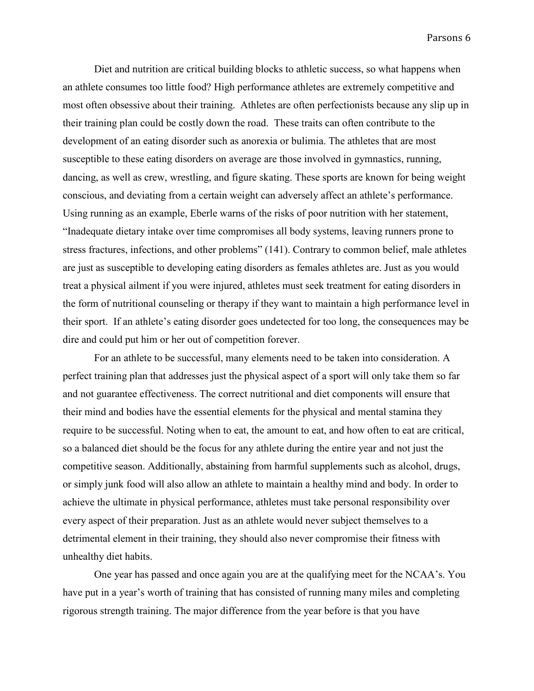Diet and nutrition are critical building blocks to athletic success, so what happens when an athlete consumes too little food? High performance athletes are extremely competitive and most often obsessive about their training. Athletes are often perfectionists because any slip up in their training plan could be costly down the road. These traits can often contribute to the development of an eating disorder such as anorexia or bulimia. The athletes that are most susceptible to these eating disorders on average are those involved in gymnastics, running, dancing, as well as crew, wrestling, and figure skating. These sports are known for being weight conscious, and deviating from a certain weight can adversely affect an athlete's performance. Using running as an example, Eberle warns of the risks of poor nutrition with her statement, "Inadequate dietary intake over time compromises all body systems, leaving runners prone to stress fractures, infections, and other problems" (141). Contrary to common belief, male athletes are just as susceptible to developing eating disorders as females athletes are. Just as you would treat a physical ailment if you were injured, athletes must seek treatment for eating disorders in the form of nutritional counseling or therapy if they want to maintain a high performance level in their sport. If an athlete's eating disorder goes undetected for too long, the consequences may be dire and could put him or her out of competition forever.

For an athlete to be successful, many elements need to be taken into consideration. A perfect training plan that addresses just the physical aspect of a sport will only take them so far and not guarantee effectiveness. The correct nutritional and diet components will ensure that their mind and bodies have the essential elements for the physical and mental stamina they require to be successful. Noting when to eat, the amount to eat, and how often to eat are critical, so a balanced diet should be the focus for any athlete during the entire year and not just the competitive season. Additionally, abstaining from harmful supplements such as alcohol, drugs, or simply junk food will also allow an athlete to maintain a healthy mind and body. In order to achieve the ultimate in physical performance, athletes must take personal responsibility over every aspect of their preparation. Just as an athlete would never subject themselves to a detrimental element in their training, they should also never compromise their fitness with unhealthy diet habits.

One year has passed and once again you are at the qualifying meet for the NCAA's. You have put in a year's worth of training that has consisted of running many miles and completing rigorous strength training. The major difference from the year before is that you have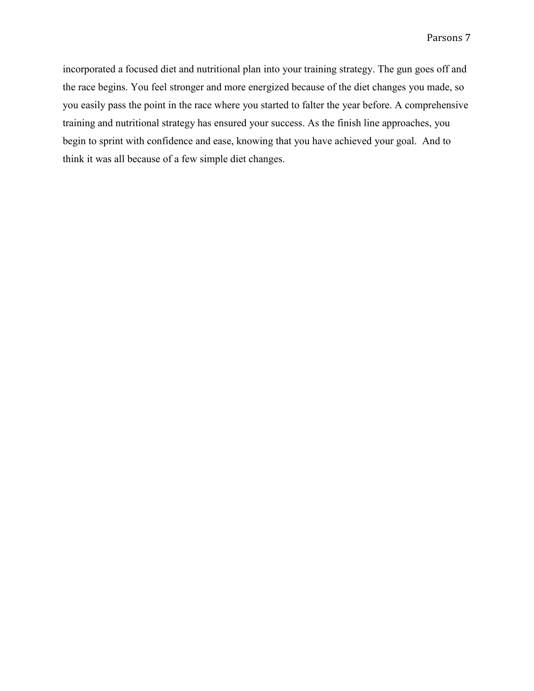incorporated a focused diet and nutritional plan into your training strategy. The gun goes off and the race begins. You feel stronger and more energized because of the diet changes you made, so you easily pass the point in the race where you started to falter the year before. A comprehensive training and nutritional strategy has ensured your success. As the finish line approaches, you begin to sprint with confidence and ease, knowing that you have achieved your goal. And to think it was all because of a few simple diet changes.